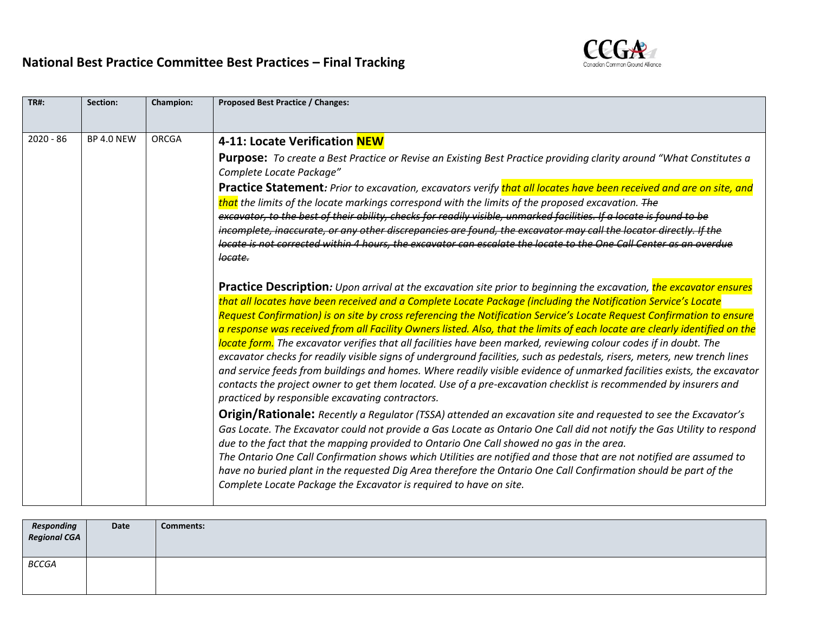## **National Best Practice Committee Best Practices – Final Tracking**



| <b>TR#:</b> | Section:          | <b>Champion:</b> | Proposed Best Practice / Changes:                                                                                                                                                                                                                                                                                                                                                                                                                                                                                                                                                                                                                                                                                                                                                                                                                                                                                                                                                                                                                                                                                                                                                                                                                                                                                                                                                                                                                                                                                                                                                                                                                                                                                                                                                                                                                                                                                                                                                                                                                                                                                                                                                                                                                                                                                                                                                                                                                                                                                       |  |  |  |  |
|-------------|-------------------|------------------|-------------------------------------------------------------------------------------------------------------------------------------------------------------------------------------------------------------------------------------------------------------------------------------------------------------------------------------------------------------------------------------------------------------------------------------------------------------------------------------------------------------------------------------------------------------------------------------------------------------------------------------------------------------------------------------------------------------------------------------------------------------------------------------------------------------------------------------------------------------------------------------------------------------------------------------------------------------------------------------------------------------------------------------------------------------------------------------------------------------------------------------------------------------------------------------------------------------------------------------------------------------------------------------------------------------------------------------------------------------------------------------------------------------------------------------------------------------------------------------------------------------------------------------------------------------------------------------------------------------------------------------------------------------------------------------------------------------------------------------------------------------------------------------------------------------------------------------------------------------------------------------------------------------------------------------------------------------------------------------------------------------------------------------------------------------------------------------------------------------------------------------------------------------------------------------------------------------------------------------------------------------------------------------------------------------------------------------------------------------------------------------------------------------------------------------------------------------------------------------------------------------------------|--|--|--|--|
| $2020 - 86$ | <b>BP 4.0 NEW</b> | ORCGA            | 4-11: Locate Verification NEW<br><b>Purpose:</b> To create a Best Practice or Revise an Existing Best Practice providing clarity around "What Constitutes a<br>Complete Locate Package"<br>Practice Statement: Prior to excavation, excavators verify that all locates have been received and are on site, and<br>that the limits of the locate markings correspond with the limits of the proposed excavation. The<br>excavator, to the best of their ability, checks for readily visible, unmarked facilities. If a locate is found to be<br>incomplete, inaccurate, or any other discrepancies are found, the excavator may call the locator directly. If the<br>locate is not corrected within 4 hours, the excavator can escalate the locate to the One Call Center as an overdue<br>locate.<br>Practice Description: Upon arrival at the excavation site prior to beginning the excavation, the excavator ensures<br>that all locates have been received and a Complete Locate Package (including the Notification Service's Locate<br>Request Confirmation) is on site by cross referencing the Notification Service's Locate Request Confirmation to ensure<br>a response was received from all Facility Owners listed. Also, that the limits of each locate are clearly identified on the<br>locate form. The excavator verifies that all facilities have been marked, reviewing colour codes if in doubt. The<br>excavator checks for readily visible signs of underground facilities, such as pedestals, risers, meters, new trench lines<br>and service feeds from buildings and homes. Where readily visible evidence of unmarked facilities exists, the excavator<br>contacts the project owner to get them located. Use of a pre-excavation checklist is recommended by insurers and<br>practiced by responsible excavating contractors.<br><b>Origin/Rationale:</b> Recently a Regulator (TSSA) attended an excavation site and requested to see the Excavator's<br>Gas Locate. The Excavator could not provide a Gas Locate as Ontario One Call did not notify the Gas Utility to respond<br>due to the fact that the mapping provided to Ontario One Call showed no gas in the area.<br>The Ontario One Call Confirmation shows which Utilities are notified and those that are not notified are assumed to<br>have no buried plant in the requested Dig Area therefore the Ontario One Call Confirmation should be part of the<br>Complete Locate Package the Excavator is required to have on site. |  |  |  |  |
|             |                   |                  |                                                                                                                                                                                                                                                                                                                                                                                                                                                                                                                                                                                                                                                                                                                                                                                                                                                                                                                                                                                                                                                                                                                                                                                                                                                                                                                                                                                                                                                                                                                                                                                                                                                                                                                                                                                                                                                                                                                                                                                                                                                                                                                                                                                                                                                                                                                                                                                                                                                                                                                         |  |  |  |  |

| Responding<br>Regional CGA | Date | <b>Comments:</b> |
|----------------------------|------|------------------|
| <b>BCCGA</b>               |      |                  |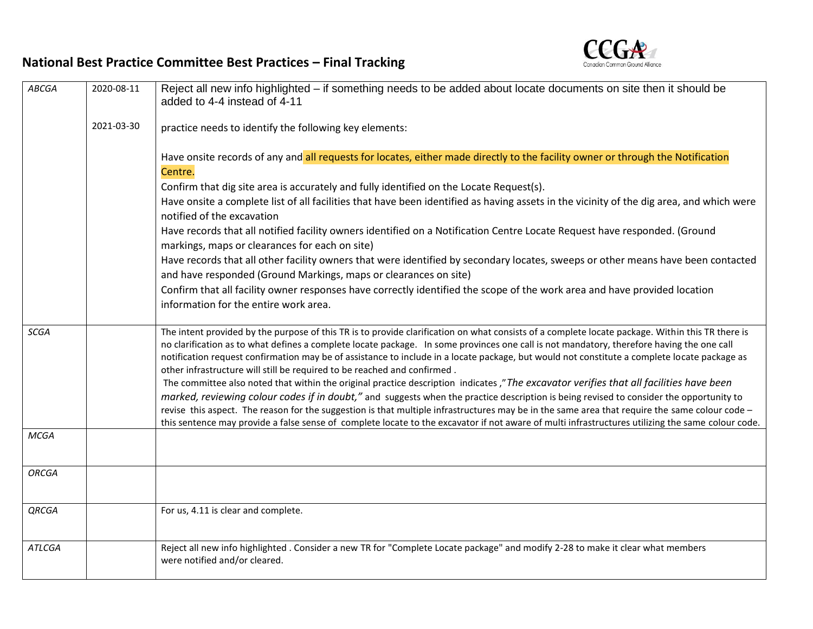

## **National Best Practice Committee Best Practices – Final Tracking**

| ABCGA         | 2020-08-11 | Reject all new info highlighted – if something needs to be added about locate documents on site then it should be<br>added to 4-4 instead of 4-11                                                                                                                                                                                                                                                                                                                                                                                                                                         |  |  |  |  |
|---------------|------------|-------------------------------------------------------------------------------------------------------------------------------------------------------------------------------------------------------------------------------------------------------------------------------------------------------------------------------------------------------------------------------------------------------------------------------------------------------------------------------------------------------------------------------------------------------------------------------------------|--|--|--|--|
|               | 2021-03-30 | practice needs to identify the following key elements:                                                                                                                                                                                                                                                                                                                                                                                                                                                                                                                                    |  |  |  |  |
|               |            | Have onsite records of any and all requests for locates, either made directly to the facility owner or through the Notification<br>Centre.                                                                                                                                                                                                                                                                                                                                                                                                                                                |  |  |  |  |
|               |            | Confirm that dig site area is accurately and fully identified on the Locate Request(s).                                                                                                                                                                                                                                                                                                                                                                                                                                                                                                   |  |  |  |  |
|               |            | Have onsite a complete list of all facilities that have been identified as having assets in the vicinity of the dig area, and which were                                                                                                                                                                                                                                                                                                                                                                                                                                                  |  |  |  |  |
|               |            | notified of the excavation                                                                                                                                                                                                                                                                                                                                                                                                                                                                                                                                                                |  |  |  |  |
|               |            | Have records that all notified facility owners identified on a Notification Centre Locate Request have responded. (Ground<br>markings, maps or clearances for each on site)                                                                                                                                                                                                                                                                                                                                                                                                               |  |  |  |  |
|               |            | Have records that all other facility owners that were identified by secondary locates, sweeps or other means have been contacted<br>and have responded (Ground Markings, maps or clearances on site)                                                                                                                                                                                                                                                                                                                                                                                      |  |  |  |  |
|               |            | Confirm that all facility owner responses have correctly identified the scope of the work area and have provided location<br>information for the entire work area.                                                                                                                                                                                                                                                                                                                                                                                                                        |  |  |  |  |
| SCGA          |            | The intent provided by the purpose of this TR is to provide clarification on what consists of a complete locate package. Within this TR there is<br>no clarification as to what defines a complete locate package. In some provinces one call is not mandatory, therefore having the one call<br>notification request confirmation may be of assistance to include in a locate package, but would not constitute a complete locate package as<br>other infrastructure will still be required to be reached and confirmed.                                                                 |  |  |  |  |
|               |            | The committee also noted that within the original practice description indicates," The excavator verifies that all facilities have been<br>marked, reviewing colour codes if in doubt," and suggests when the practice description is being revised to consider the opportunity to<br>revise this aspect. The reason for the suggestion is that multiple infrastructures may be in the same area that require the same colour code -<br>this sentence may provide a false sense of complete locate to the excavator if not aware of multi infrastructures utilizing the same colour code. |  |  |  |  |
| <b>MCGA</b>   |            |                                                                                                                                                                                                                                                                                                                                                                                                                                                                                                                                                                                           |  |  |  |  |
| <b>ORCGA</b>  |            |                                                                                                                                                                                                                                                                                                                                                                                                                                                                                                                                                                                           |  |  |  |  |
| QRCGA         |            | For us, 4.11 is clear and complete.                                                                                                                                                                                                                                                                                                                                                                                                                                                                                                                                                       |  |  |  |  |
| <b>ATLCGA</b> |            | Reject all new info highlighted . Consider a new TR for "Complete Locate package" and modify 2-28 to make it clear what members<br>were notified and/or cleared.                                                                                                                                                                                                                                                                                                                                                                                                                          |  |  |  |  |